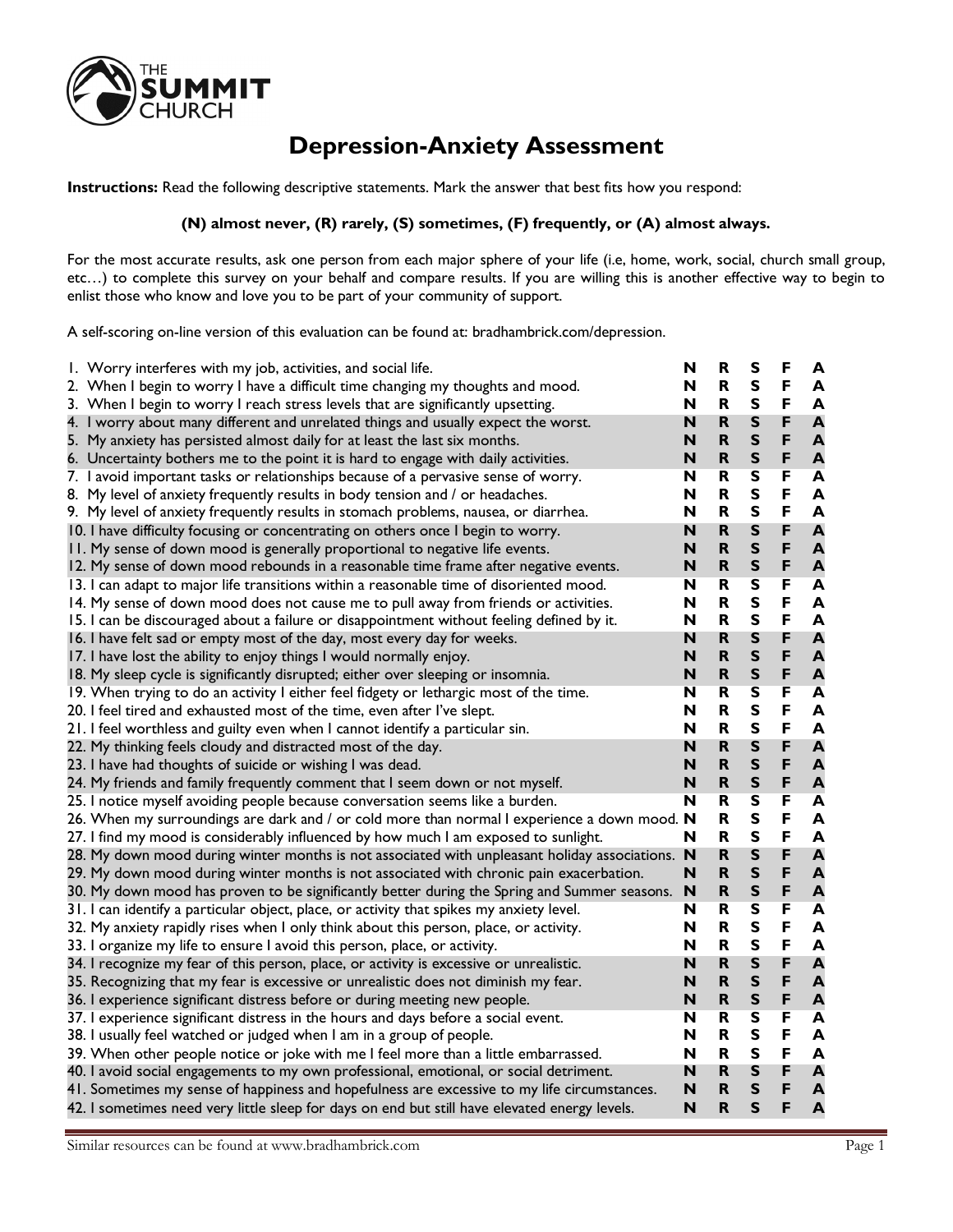

## **Depression-Anxiety Assessment**

**Instructions:** Read the following descriptive statements. Mark the answer that best fits how you respond:

## **(N) almost never, (R) rarely, (S) sometimes, (F) frequently, or (A) almost always.**

For the most accurate results, ask one person from each major sphere of your life (i.e, home, work, social, church small group, etc…) to complete this survey on your behalf and compare results. If you are willing this is another effective way to begin to enlist those who know and love you to be part of your community of support.

A self-scoring on-line version of this evaluation can be found at: bradhambrick.com/depression.

| I. Worry interferes with my job, activities, and social life.                                 | N | R                       | s                       | F | A                       |
|-----------------------------------------------------------------------------------------------|---|-------------------------|-------------------------|---|-------------------------|
| 2. When I begin to worry I have a difficult time changing my thoughts and mood.               | N | R                       | S                       | F | A                       |
| 3. When I begin to worry I reach stress levels that are significantly upsetting.              | N | $\mathbf R$             | S                       | F | A                       |
| 4. I worry about many different and unrelated things and usually expect the worst.            | N | $\mathsf R$             | S                       | F | A                       |
| 5. My anxiety has persisted almost daily for at least the last six months.                    | N | R                       | S                       | F | $\mathbf{A}$            |
| 6. Uncertainty bothers me to the point it is hard to engage with daily activities.            | N | $\mathbf R$             | S                       | F | $\mathbf{A}$            |
| 7. I avoid important tasks or relationships because of a pervasive sense of worry.            | N | R                       | $\overline{\mathbf{s}}$ | F | $\overline{\mathbf{A}}$ |
| 8. My level of anxiety frequently results in body tension and / or headaches.                 | N | R                       | S                       | F | A                       |
| 9. My level of anxiety frequently results in stomach problems, nausea, or diarrhea.           | N | R                       | S                       | F | A                       |
| 10. I have difficulty focusing or concentrating on others once I begin to worry.              | N | $\overline{\mathsf{R}}$ | S                       | F | A                       |
| II. My sense of down mood is generally proportional to negative life events.                  | N | $\mathbf R$             | S                       | F | A                       |
| 12. My sense of down mood rebounds in a reasonable time frame after negative events.          | N | $\overline{\mathsf{R}}$ | $\mathsf{s}$            | F | A                       |
| 13. I can adapt to major life transitions within a reasonable time of disoriented mood.       | N | R                       | $\overline{\mathbf{s}}$ | F | A                       |
| 14. My sense of down mood does not cause me to pull away from friends or activities.          | N | R                       | S                       | F | A                       |
| 15. I can be discouraged about a failure or disappointment without feeling defined by it.     | N | R                       | S                       | F | A                       |
| 16. I have felt sad or empty most of the day, most every day for weeks.                       | N | $\overline{\mathsf{R}}$ | S                       | F | A                       |
| 17. I have lost the ability to enjoy things I would normally enjoy.                           | N | $\mathbf R$             | S                       | F | A                       |
| 18. My sleep cycle is significantly disrupted; either over sleeping or insomnia.              | N | $\mathsf R$             | S                       | F | A                       |
| 19. When trying to do an activity I either feel fidgety or lethargic most of the time.        | N | R                       | $\overline{\mathbf{s}}$ | F | $\overline{\mathbf{A}}$ |
| 20. I feel tired and exhausted most of the time, even after I've slept.                       | N | R                       | S                       | F | $\mathbf{A}$            |
| 21. I feel worthless and guilty even when I cannot identify a particular sin.                 | N | R                       | S                       | F | A                       |
| 22. My thinking feels cloudy and distracted most of the day.                                  | N | $\mathsf R$             | S                       | F | A                       |
| 23. I have had thoughts of suicide or wishing I was dead.                                     | N | $\mathsf R$             | S                       | F | $\blacktriangle$        |
| 24. My friends and family frequently comment that I seem down or not myself.                  | N | R                       | S                       | F | $\mathbf{A}$            |
| 25. I notice myself avoiding people because conversation seems like a burden.                 | N | R                       | $\overline{\mathbf{s}}$ | F | A                       |
| 26. When my surroundings are dark and / or cold more than normal I experience a down mood. N  |   | R                       | S                       | F | A                       |
| 27. I find my mood is considerably influenced by how much I am exposed to sunlight.           | N | R                       | S                       | F | A                       |
| 28. My down mood during winter months is not associated with unpleasant holiday associations. | N | $\mathsf R$             | S                       | F | A                       |
| 29. My down mood during winter months is not associated with chronic pain exacerbation.       | N | $\overline{\mathsf{R}}$ | S                       | F | $\blacktriangle$        |
| 30. My down mood has proven to be significantly better during the Spring and Summer seasons.  | N | $\mathsf R$             | $\mathsf{s}$            | F | A                       |
| 31. I can identify a particular object, place, or activity that spikes my anxiety level.      | N | R                       | $\overline{\mathbf{s}}$ | F | A                       |
| 32. My anxiety rapidly rises when I only think about this person, place, or activity.         | N | R                       | S                       | F | A                       |
| 33. I organize my life to ensure I avoid this person, place, or activity.                     | N | R                       | S                       | F | $\blacktriangle$        |
| 34. I recognize my fear of this person, place, or activity is excessive or unrealistic.       | N | R                       | S                       | F | A                       |
| 35. Recognizing that my fear is excessive or unrealistic does not diminish my fear.           | N | R                       | S                       | F | A                       |
| 36. I experience significant distress before or during meeting new people.                    | N | $\mathsf R$             | S                       | F | A                       |
| 37. I experience significant distress in the hours and days before a social event.            | N | R                       | $\overline{\mathbf{s}}$ | F | $\overline{\mathbf{A}}$ |
| 38. I usually feel watched or judged when I am in a group of people.                          | N | R                       | S                       | F | A                       |
| 39. When other people notice or joke with me I feel more than a little embarrassed.           | N | R                       | S                       | F | A                       |
| 40. I avoid social engagements to my own professional, emotional, or social detriment.        | N | $\mathsf R$             | S                       | F | A                       |
| 41. Sometimes my sense of happiness and hopefulness are excessive to my life circumstances.   | N | $\mathsf R$             | S                       | F | $\mathbf{A}$            |
| 42. I sometimes need very little sleep for days on end but still have elevated energy levels. | N | R                       | S                       | F | $\overline{\mathbf{A}}$ |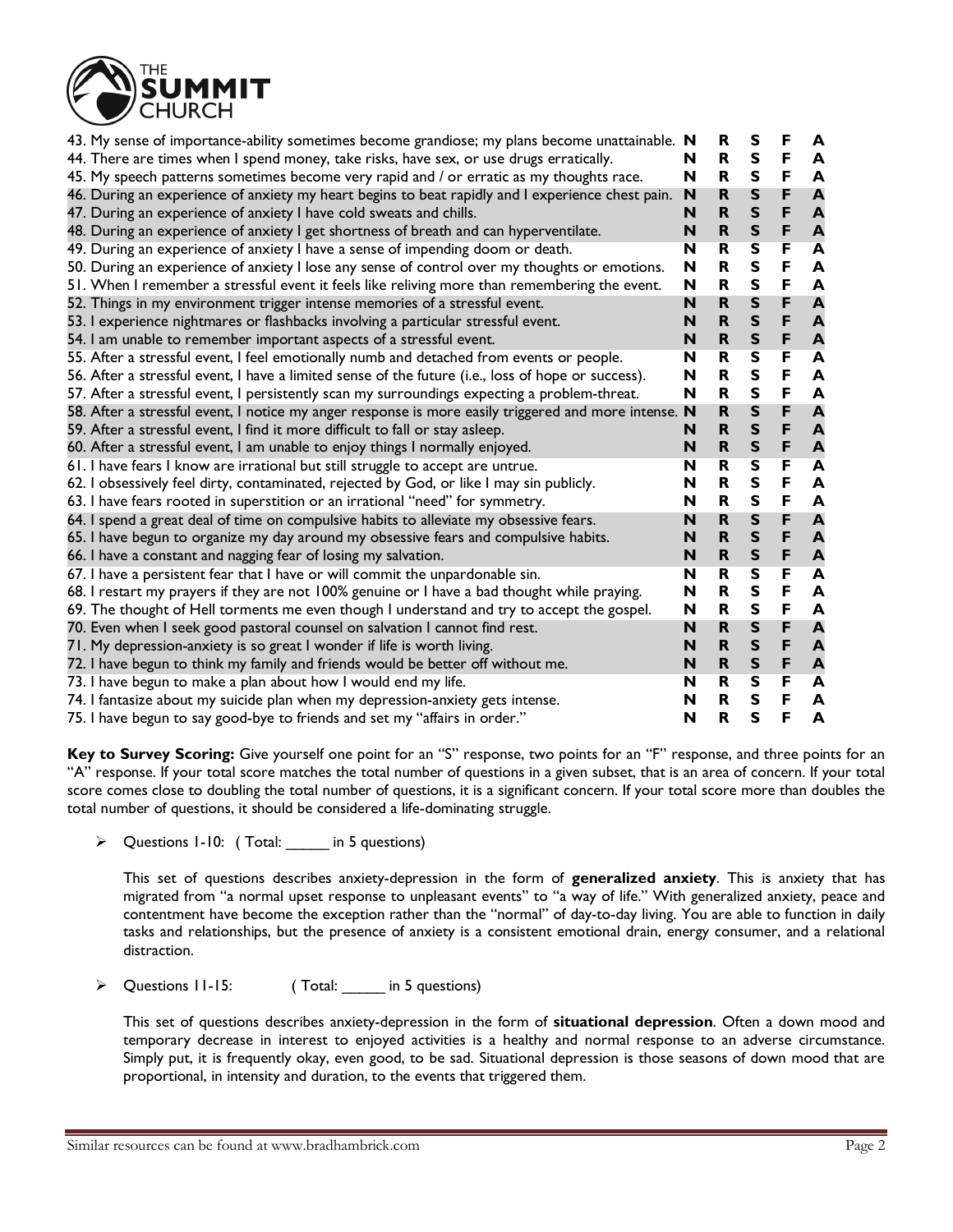

| 43. My sense of importance-ability sometimes become grandiose; my plans become unattainable. N       |   | R                       | S                       | F | A                |
|------------------------------------------------------------------------------------------------------|---|-------------------------|-------------------------|---|------------------|
| 44. There are times when I spend money, take risks, have sex, or use drugs erratically.              | N | R                       | S                       | F | A                |
| 45. My speech patterns sometimes become very rapid and / or erratic as my thoughts race.             | N | R                       | S                       | F | A                |
| 46. During an experience of anxiety my heart begins to beat rapidly and I experience chest pain.     | N | $\mathbf R$             | $\mathsf{s}$            | F | A                |
| 47. During an experience of anxiety I have cold sweats and chills.                                   | N | R                       | $\mathsf{s}$            | F | $\mathbf{A}$     |
| 48. During an experience of anxiety I get shortness of breath and can hyperventilate.                | N | $\mathbf R$             | $\mathsf{s}$            | F | $\mathbf{A}$     |
| 49. During an experience of anxiety I have a sense of impending doom or death.                       | N | R                       | S                       | F | A                |
| 50. During an experience of anxiety I lose any sense of control over my thoughts or emotions.        | N | $\mathbf R$             | $\mathsf{s}$            | F | A                |
| 51. When I remember a stressful event it feels like reliving more than remembering the event.        | N | R                       | $\mathsf{s}$            | F | A                |
| 52. Things in my environment trigger intense memories of a stressful event.                          | N | $\overline{\mathsf{R}}$ | $\mathsf{s}$            | F | A                |
| 53. I experience nightmares or flashbacks involving a particular stressful event.                    | N | R                       | $\mathsf{s}$            | F | A                |
| 54. I am unable to remember important aspects of a stressful event.                                  | N | $\mathbf R$             | $\mathsf{s}$            | F | $\blacktriangle$ |
| 55. After a stressful event, I feel emotionally numb and detached from events or people.             | N | $\overline{\mathbf{R}}$ | $\overline{\mathbf{s}}$ | F | A                |
| 56. After a stressful event, I have a limited sense of the future (i.e., loss of hope or success).   | N | $\mathbf R$             | $\mathsf{s}$            | F | A                |
| 57. After a stressful event, I persistently scan my surroundings expecting a problem-threat.         | N | R                       | $\mathsf{s}$            | F | A                |
| 58. After a stressful event, I notice my anger response is more easily triggered and more intense. N |   | $\mathbf R$             | $\sf S$                 | F | A                |
| 59. After a stressful event, I find it more difficult to fall or stay asleep.                        | N | $\mathbf R$             | $\mathsf{s}$            | F | $\mathbf{A}$     |
| 60. After a stressful event, I am unable to enjoy things I normally enjoyed.                         | N | $\mathbf R$             | $\mathsf{s}$            | F | $\mathbf{A}$     |
| 61. I have fears I know are irrational but still struggle to accept are untrue.                      | N | R                       | $\overline{\mathsf{s}}$ | F | A                |
| 62. I obsessively feel dirty, contaminated, rejected by God, or like I may sin publicly.             | N | R                       | $\mathsf{s}$            | F | A                |
| 63. I have fears rooted in superstition or an irrational "need" for symmetry.                        | N | R                       | $\mathsf{s}$            | F | A                |
| 64. I spend a great deal of time on compulsive habits to alleviate my obsessive fears.               | N | $\mathbf R$             | $\mathsf{s}$            | F | A                |
| 65. I have begun to organize my day around my obsessive fears and compulsive habits.                 | N | $\mathbf R$             | $\mathsf{s}$            | F | $\blacktriangle$ |
| 66. I have a constant and nagging fear of losing my salvation.                                       | N | $\mathbf R$             | $\mathsf{s}$            | F | A                |
| 67. I have a persistent fear that I have or will commit the unpardonable sin.                        | N | R                       | $\overline{\mathbf{s}}$ | F | A                |
| 68. I restart my prayers if they are not 100% genuine or I have a bad thought while praying.         | N | R                       | $\mathsf{s}$            | F | A                |
| 69. The thought of Hell torments me even though I understand and try to accept the gospel.           | N | R                       | $\mathsf{s}$            | F | A                |
| 70. Even when I seek good pastoral counsel on salvation I cannot find rest.                          | N | $\mathbf R$             | $\mathsf{s}$            | F | $\blacktriangle$ |
| 71. My depression-anxiety is so great I wonder if life is worth living.                              | N | $\mathbf R$             | $\mathsf{s}$            | F | $\mathbf{A}$     |
| 72. I have begun to think my family and friends would be better off without me.                      | N | R                       | $\mathsf{s}$            | F | A                |
| 73. I have begun to make a plan about how I would end my life.                                       | N | R                       | S                       | F | A                |
| 74. I fantasize about my suicide plan when my depression-anxiety gets intense.                       | N | R                       | S                       | F | A                |
| 75. I have begun to say good-bye to friends and set my "affairs in order."                           | N | $\mathbf R$             | $\mathsf{s}$            | F | A                |

**Key to Survey Scoring:** Give yourself one point for an "S" response, two points for an "F" response, and three points for an "A" response. If your total score matches the total number of questions in a given subset, that is an area of concern. If your total score comes close to doubling the total number of questions, it is a significant concern. If your total score more than doubles the total number of questions, it should be considered a life-dominating struggle.

ÿ Questions 1-10: ( Total: \_\_\_\_\_ in 5 questions)

This set of questions describes anxiety-depression in the form of **generalized anxiety**. This is anxiety that has migrated from "a normal upset response to unpleasant events" to "a way of life." With generalized anxiety, peace and contentment have become the exception rather than the "normal" of day-to-day living. You are able to function in daily tasks and relationships, but the presence of anxiety is a consistent emotional drain, energy consumer, and a relational distraction.

ÿ Questions 11-15: ( Total: \_\_\_\_\_ in 5 questions)

This set of questions describes anxiety-depression in the form of **situational depression**. Often a down mood and temporary decrease in interest to enjoyed activities is a healthy and normal response to an adverse circumstance. Simply put, it is frequently okay, even good, to be sad. Situational depression is those seasons of down mood that are proportional, in intensity and duration, to the events that triggered them.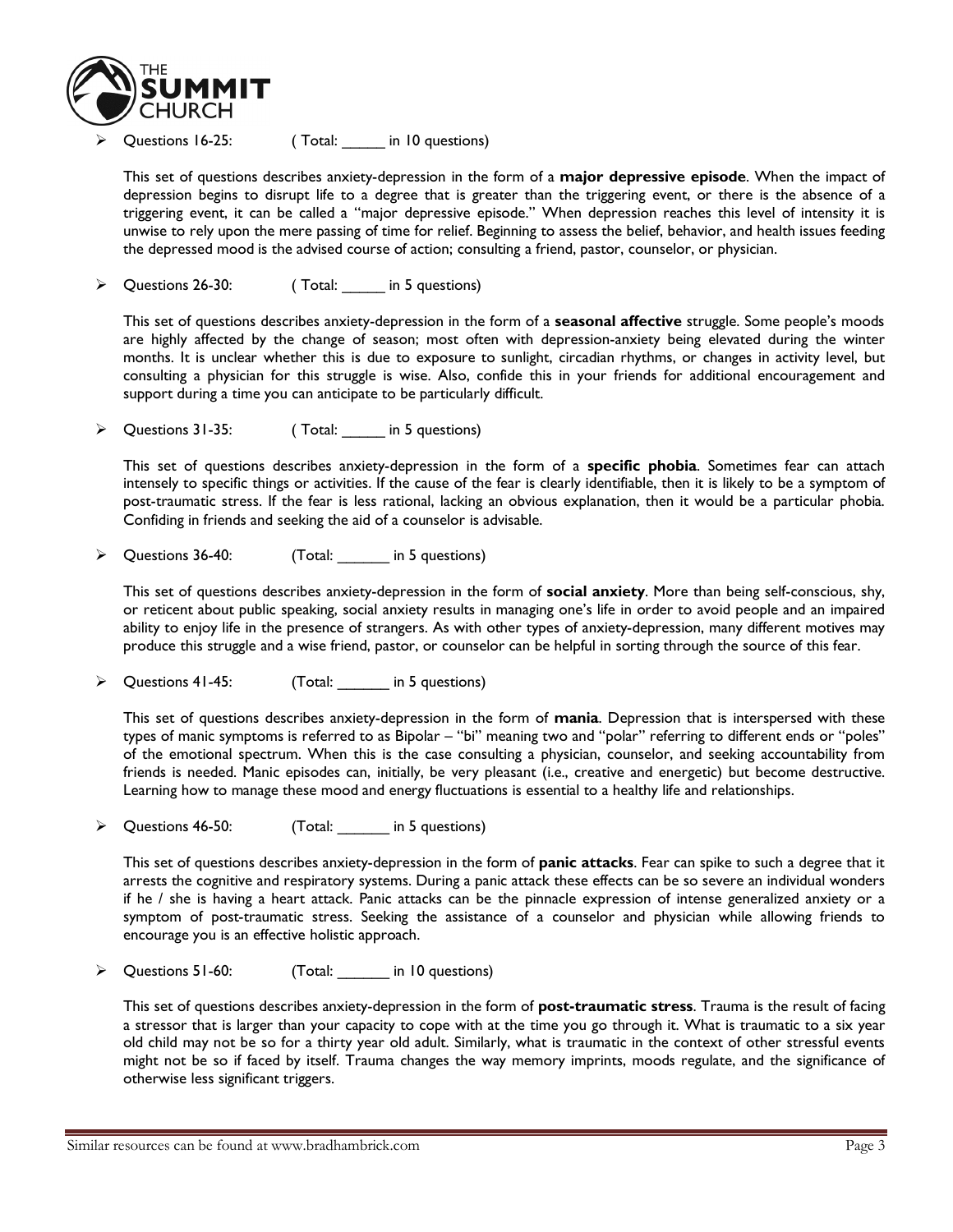

Questions 16-25: (Total: in 10 questions)

This set of questions describes anxiety-depression in the form of a **major depressive episode**. When the impact of depression begins to disrupt life to a degree that is greater than the triggering event, or there is the absence of a triggering event, it can be called a "major depressive episode." When depression reaches this level of intensity it is unwise to rely upon the mere passing of time for relief. Beginning to assess the belief, behavior, and health issues feeding the depressed mood is the advised course of action; consulting a friend, pastor, counselor, or physician.

ÿ Questions 26-30: ( Total: \_\_\_\_\_ in 5 questions)

This set of questions describes anxiety-depression in the form of a **seasonal affective** struggle. Some people's moods are highly affected by the change of season; most often with depression-anxiety being elevated during the winter months. It is unclear whether this is due to exposure to sunlight, circadian rhythms, or changes in activity level, but consulting a physician for this struggle is wise. Also, confide this in your friends for additional encouragement and support during a time you can anticipate to be particularly difficult.

ÿ Questions 31-35: ( Total: \_\_\_\_\_ in 5 questions)

This set of questions describes anxiety-depression in the form of a **specific phobia**. Sometimes fear can attach intensely to specific things or activities. If the cause of the fear is clearly identifiable, then it is likely to be a symptom of post-traumatic stress. If the fear is less rational, lacking an obvious explanation, then it would be a particular phobia. Confiding in friends and seeking the aid of a counselor is advisable.

ÿ Questions 36-40: (Total: \_\_\_\_\_\_ in 5 questions)

This set of questions describes anxiety-depression in the form of **social anxiety**. More than being self-conscious, shy, or reticent about public speaking, social anxiety results in managing one's life in order to avoid people and an impaired ability to enjoy life in the presence of strangers. As with other types of anxiety-depression, many different motives may produce this struggle and a wise friend, pastor, or counselor can be helpful in sorting through the source of this fear.

ÿ Questions 41-45: (Total: \_\_\_\_\_\_ in 5 questions)

This set of questions describes anxiety-depression in the form of **mania**. Depression that is interspersed with these types of manic symptoms is referred to as Bipolar – "bi" meaning two and "polar" referring to different ends or "poles" of the emotional spectrum. When this is the case consulting a physician, counselor, and seeking accountability from friends is needed. Manic episodes can, initially, be very pleasant (i.e., creative and energetic) but become destructive. Learning how to manage these mood and energy fluctuations is essential to a healthy life and relationships.

ÿ Questions 46-50: (Total: \_\_\_\_\_\_ in 5 questions)

This set of questions describes anxiety-depression in the form of **panic attacks**. Fear can spike to such a degree that it arrests the cognitive and respiratory systems. During a panic attack these effects can be so severe an individual wonders if he / she is having a heart attack. Panic attacks can be the pinnacle expression of intense generalized anxiety or a symptom of post-traumatic stress. Seeking the assistance of a counselor and physician while allowing friends to encourage you is an effective holistic approach.

ÿ Questions 51-60: (Total: \_\_\_\_\_\_ in 10 questions)

This set of questions describes anxiety-depression in the form of **post-traumatic stress**. Trauma is the result of facing a stressor that is larger than your capacity to cope with at the time you go through it. What is traumatic to a six year old child may not be so for a thirty year old adult. Similarly, what is traumatic in the context of other stressful events might not be so if faced by itself. Trauma changes the way memory imprints, moods regulate, and the significance of otherwise less significant triggers.